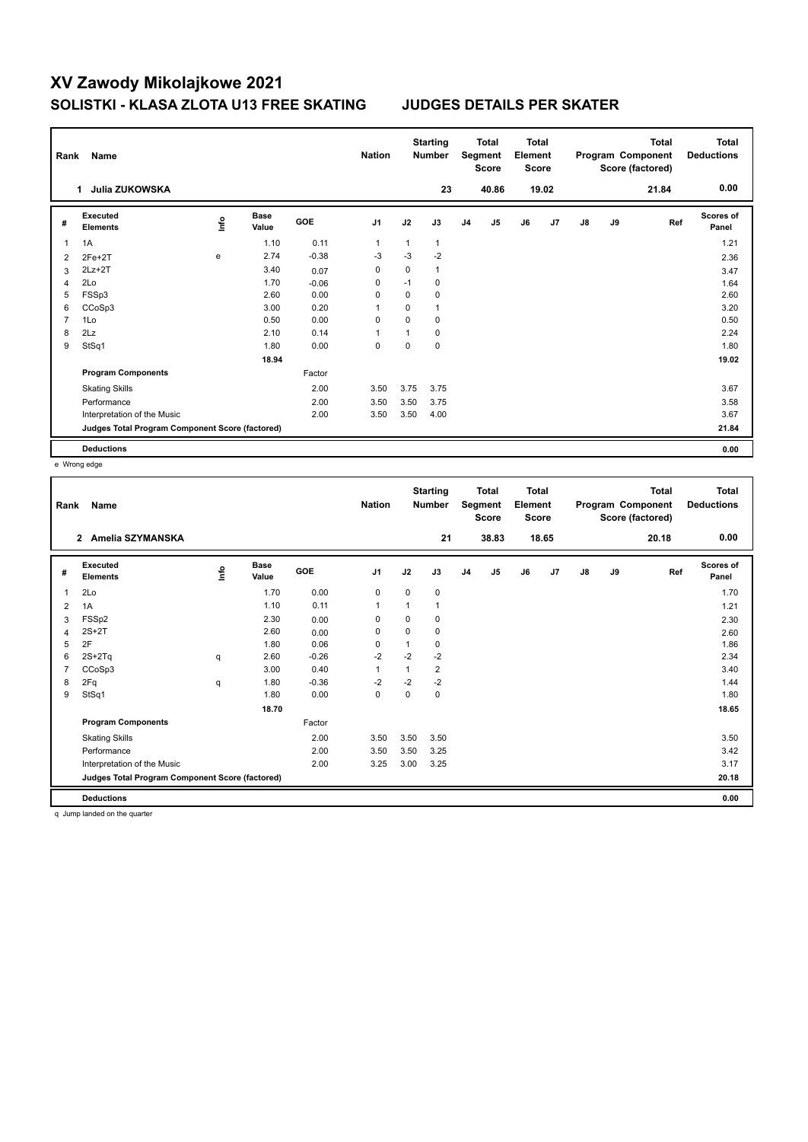| Rank           | Name                                            |               |                      |            | <b>Nation</b>  |             | <b>Starting</b><br><b>Number</b> |                | <b>Total</b><br>Segment<br><b>Score</b> | <b>Total</b><br>Element<br><b>Score</b> |                |               |    | <b>Total</b><br>Program Component<br>Score (factored) | Total<br><b>Deductions</b> |
|----------------|-------------------------------------------------|---------------|----------------------|------------|----------------|-------------|----------------------------------|----------------|-----------------------------------------|-----------------------------------------|----------------|---------------|----|-------------------------------------------------------|----------------------------|
|                | Julia ZUKOWSKA<br>1                             |               |                      |            |                |             | 23                               |                | 40.86                                   |                                         | 19.02          |               |    | 21.84                                                 | 0.00                       |
| #              | Executed<br><b>Elements</b>                     | $\frac{6}{2}$ | <b>Base</b><br>Value | <b>GOE</b> | J <sub>1</sub> | J2          | J3                               | J <sub>4</sub> | J5                                      | J6                                      | J <sub>7</sub> | $\mathsf{J}8$ | J9 | Ref                                                   | Scores of<br>Panel         |
| 1              | 1A                                              |               | 1.10                 | 0.11       | $\overline{1}$ |             | 1                                |                |                                         |                                         |                |               |    |                                                       | 1.21                       |
| 2              | $2Fe+2T$                                        | e             | 2.74                 | $-0.38$    | $-3$           | $-3$        | $-2$                             |                |                                         |                                         |                |               |    |                                                       | 2.36                       |
| 3              | $2Lz + 2T$                                      |               | 3.40                 | 0.07       | 0              | 0           | $\mathbf{1}$                     |                |                                         |                                         |                |               |    |                                                       | 3.47                       |
| 4              | 2Lo                                             |               | 1.70                 | $-0.06$    | 0              | $-1$        | 0                                |                |                                         |                                         |                |               |    |                                                       | 1.64                       |
| 5              | FSSp3                                           |               | 2.60                 | 0.00       | 0              | 0           | 0                                |                |                                         |                                         |                |               |    |                                                       | 2.60                       |
| 6              | CCoSp3                                          |               | 3.00                 | 0.20       | 1              | $\Omega$    | $\mathbf{1}$                     |                |                                         |                                         |                |               |    |                                                       | 3.20                       |
| $\overline{7}$ | 1Lo                                             |               | 0.50                 | 0.00       | 0              | $\mathbf 0$ | 0                                |                |                                         |                                         |                |               |    |                                                       | 0.50                       |
| 8              | 2Lz                                             |               | 2.10                 | 0.14       | $\overline{1}$ |             | 0                                |                |                                         |                                         |                |               |    |                                                       | 2.24                       |
| 9              | StSq1                                           |               | 1.80                 | 0.00       | 0              | $\mathbf 0$ | 0                                |                |                                         |                                         |                |               |    |                                                       | 1.80                       |
|                |                                                 |               | 18.94                |            |                |             |                                  |                |                                         |                                         |                |               |    |                                                       | 19.02                      |
|                | <b>Program Components</b>                       |               |                      | Factor     |                |             |                                  |                |                                         |                                         |                |               |    |                                                       |                            |
|                | <b>Skating Skills</b>                           |               |                      | 2.00       | 3.50           | 3.75        | 3.75                             |                |                                         |                                         |                |               |    |                                                       | 3.67                       |
|                | Performance                                     |               |                      | 2.00       | 3.50           | 3.50        | 3.75                             |                |                                         |                                         |                |               |    |                                                       | 3.58                       |
|                | Interpretation of the Music                     |               |                      | 2.00       | 3.50           | 3.50        | 4.00                             |                |                                         |                                         |                |               |    |                                                       | 3.67                       |
|                | Judges Total Program Component Score (factored) |               |                      |            |                |             |                                  |                |                                         |                                         |                |               |    |                                                       | 21.84                      |
|                | <b>Deductions</b>                               |               |                      |            |                |             |                                  |                |                                         |                                         |                |               |    |                                                       | 0.00                       |

e Wrong edge

| Rank           | Name                                            |      |                      |         | <b>Nation</b>  |              | <b>Starting</b><br><b>Number</b> |                | <b>Total</b><br>Segment<br><b>Score</b> | Total<br>Element<br><b>Score</b> |       |    |    | <b>Total</b><br>Program Component<br>Score (factored) | <b>Total</b><br><b>Deductions</b> |
|----------------|-------------------------------------------------|------|----------------------|---------|----------------|--------------|----------------------------------|----------------|-----------------------------------------|----------------------------------|-------|----|----|-------------------------------------------------------|-----------------------------------|
|                | Amelia SZYMANSKA<br>$\overline{2}$              |      |                      |         |                |              | 21                               |                | 38.83                                   |                                  | 18.65 |    |    | 20.18                                                 | 0.00                              |
| #              | Executed<br><b>Elements</b>                     | lnfo | <b>Base</b><br>Value | GOE     | J <sub>1</sub> | J2           | J3                               | J <sub>4</sub> | J5                                      | J6                               | J7    | J8 | J9 | Ref                                                   | <b>Scores of</b><br>Panel         |
| 1              | 2Lo                                             |      | 1.70                 | 0.00    | 0              | 0            | 0                                |                |                                         |                                  |       |    |    |                                                       | 1.70                              |
| $\overline{2}$ | 1A                                              |      | 1.10                 | 0.11    | $\mathbf{1}$   |              | 1                                |                |                                         |                                  |       |    |    |                                                       | 1.21                              |
| 3              | FSSp2                                           |      | 2.30                 | 0.00    | 0              | 0            | 0                                |                |                                         |                                  |       |    |    |                                                       | 2.30                              |
| 4              | $2S+2T$                                         |      | 2.60                 | 0.00    | 0              | $\Omega$     | 0                                |                |                                         |                                  |       |    |    |                                                       | 2.60                              |
| 5              | 2F                                              |      | 1.80                 | 0.06    | 0              |              | 0                                |                |                                         |                                  |       |    |    |                                                       | 1.86                              |
| 6              | $2S+2Tq$                                        | q    | 2.60                 | $-0.26$ | $-2$           | $-2$         | $-2$                             |                |                                         |                                  |       |    |    |                                                       | 2.34                              |
| 7              | CCoSp3                                          |      | 3.00                 | 0.40    | $\mathbf{1}$   | $\mathbf{1}$ | $\overline{2}$                   |                |                                         |                                  |       |    |    |                                                       | 3.40                              |
| 8              | 2Fq                                             | q    | 1.80                 | $-0.36$ | $-2$           | $-2$         | $-2$                             |                |                                         |                                  |       |    |    |                                                       | 1.44                              |
| 9              | StSq1                                           |      | 1.80                 | 0.00    | $\mathbf 0$    | $\Omega$     | 0                                |                |                                         |                                  |       |    |    |                                                       | 1.80                              |
|                |                                                 |      | 18.70                |         |                |              |                                  |                |                                         |                                  |       |    |    |                                                       | 18.65                             |
|                | <b>Program Components</b>                       |      |                      | Factor  |                |              |                                  |                |                                         |                                  |       |    |    |                                                       |                                   |
|                | <b>Skating Skills</b>                           |      |                      | 2.00    | 3.50           | 3.50         | 3.50                             |                |                                         |                                  |       |    |    |                                                       | 3.50                              |
|                | Performance                                     |      |                      | 2.00    | 3.50           | 3.50         | 3.25                             |                |                                         |                                  |       |    |    |                                                       | 3.42                              |
|                | Interpretation of the Music                     |      |                      | 2.00    | 3.25           | 3.00         | 3.25                             |                |                                         |                                  |       |    |    |                                                       | 3.17                              |
|                | Judges Total Program Component Score (factored) |      |                      |         |                |              |                                  |                |                                         |                                  |       |    |    |                                                       | 20.18                             |
|                | <b>Deductions</b>                               |      |                      |         |                |              |                                  |                |                                         |                                  |       |    |    |                                                       | 0.00                              |
|                |                                                 |      |                      |         |                |              |                                  |                |                                         |                                  |       |    |    |                                                       |                                   |

q Jump landed on the quarter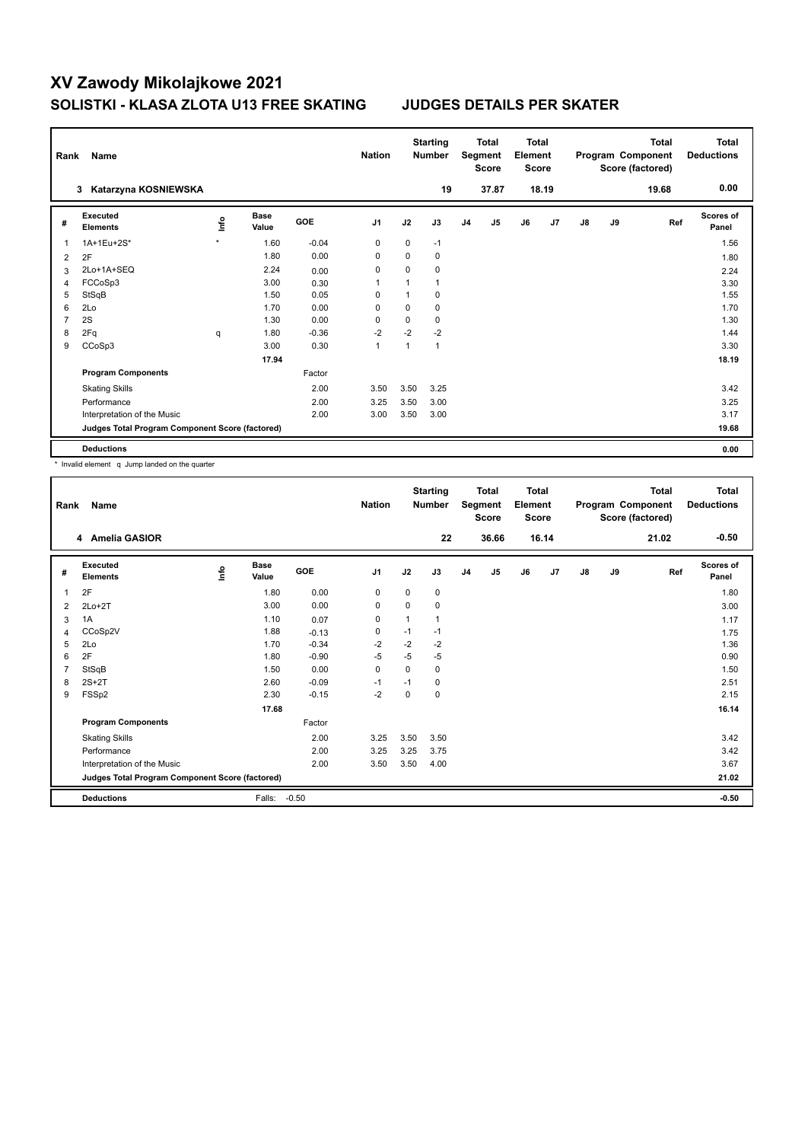| Rank           | Name                                            |         |                      |            | <b>Nation</b>  |             | <b>Starting</b><br><b>Number</b> |                | <b>Total</b><br>Segment<br><b>Score</b> | <b>Total</b><br>Element<br><b>Score</b> |                |    |    | <b>Total</b><br>Program Component<br>Score (factored) | <b>Total</b><br><b>Deductions</b> |
|----------------|-------------------------------------------------|---------|----------------------|------------|----------------|-------------|----------------------------------|----------------|-----------------------------------------|-----------------------------------------|----------------|----|----|-------------------------------------------------------|-----------------------------------|
|                | Katarzyna KOSNIEWSKA<br>3                       |         |                      |            |                |             | 19                               |                | 37.87                                   |                                         | 18.19          |    |    | 19.68                                                 | 0.00                              |
| #              | Executed<br><b>Elements</b>                     | ١nto    | <b>Base</b><br>Value | <b>GOE</b> | J <sub>1</sub> | J2          | J3                               | J <sub>4</sub> | J5                                      | J6                                      | J <sub>7</sub> | J8 | J9 | Ref                                                   | Scores of<br>Panel                |
| $\overline{1}$ | 1A+1Eu+2S*                                      | $\star$ | 1.60                 | $-0.04$    | $\mathbf 0$    | $\mathbf 0$ | $-1$                             |                |                                         |                                         |                |    |    |                                                       | 1.56                              |
| 2              | 2F                                              |         | 1.80                 | 0.00       | 0              | $\Omega$    | $\Omega$                         |                |                                         |                                         |                |    |    |                                                       | 1.80                              |
| 3              | 2Lo+1A+SEQ                                      |         | 2.24                 | 0.00       | 0              | $\Omega$    | 0                                |                |                                         |                                         |                |    |    |                                                       | 2.24                              |
| 4              | FCCoSp3                                         |         | 3.00                 | 0.30       | $\overline{1}$ | 1           |                                  |                |                                         |                                         |                |    |    |                                                       | 3.30                              |
| 5              | StSqB                                           |         | 1.50                 | 0.05       | 0              | 1           | 0                                |                |                                         |                                         |                |    |    |                                                       | 1.55                              |
| 6              | 2Lo                                             |         | 1.70                 | 0.00       | 0              | 0           | 0                                |                |                                         |                                         |                |    |    |                                                       | 1.70                              |
| $\overline{7}$ | 2S                                              |         | 1.30                 | 0.00       | $\mathbf 0$    | 0           | 0                                |                |                                         |                                         |                |    |    |                                                       | 1.30                              |
| 8              | 2Fq                                             | q       | 1.80                 | $-0.36$    | $-2$           | $-2$        | $-2$                             |                |                                         |                                         |                |    |    |                                                       | 1.44                              |
| 9              | CCoSp3                                          |         | 3.00                 | 0.30       | $\mathbf{1}$   | 1           | 1                                |                |                                         |                                         |                |    |    |                                                       | 3.30                              |
|                |                                                 |         | 17.94                |            |                |             |                                  |                |                                         |                                         |                |    |    |                                                       | 18.19                             |
|                | <b>Program Components</b>                       |         |                      | Factor     |                |             |                                  |                |                                         |                                         |                |    |    |                                                       |                                   |
|                | <b>Skating Skills</b>                           |         |                      | 2.00       | 3.50           | 3.50        | 3.25                             |                |                                         |                                         |                |    |    |                                                       | 3.42                              |
|                | Performance                                     |         |                      | 2.00       | 3.25           | 3.50        | 3.00                             |                |                                         |                                         |                |    |    |                                                       | 3.25                              |
|                | Interpretation of the Music                     |         |                      | 2.00       | 3.00           | 3.50        | 3.00                             |                |                                         |                                         |                |    |    |                                                       | 3.17                              |
|                | Judges Total Program Component Score (factored) |         |                      |            |                |             |                                  |                |                                         |                                         |                |    |    |                                                       | 19.68                             |
|                | <b>Deductions</b>                               |         |                      |            |                |             |                                  |                |                                         |                                         |                |    |    |                                                       | 0.00                              |

\* Invalid element q Jump landed on the quarter

| Rank | Name                                            |      |                      |            | <b>Nation</b> |          | <b>Starting</b><br><b>Number</b> |                | <b>Total</b><br>Segment<br><b>Score</b> | Total<br>Element<br><b>Score</b> |       |               |    | <b>Total</b><br>Program Component<br>Score (factored) | <b>Total</b><br><b>Deductions</b> |
|------|-------------------------------------------------|------|----------------------|------------|---------------|----------|----------------------------------|----------------|-----------------------------------------|----------------------------------|-------|---------------|----|-------------------------------------------------------|-----------------------------------|
|      | 4 Amelia GASIOR                                 |      |                      |            |               |          | 22                               |                | 36.66                                   |                                  | 16.14 |               |    | 21.02                                                 | $-0.50$                           |
| #    | Executed<br><b>Elements</b>                     | lnfo | <b>Base</b><br>Value | <b>GOE</b> | J1            | J2       | J3                               | J <sub>4</sub> | J5                                      | J6                               | J7    | $\mathsf{J}8$ | J9 | Ref                                                   | <b>Scores of</b><br>Panel         |
| 1    | 2F                                              |      | 1.80                 | 0.00       | 0             | 0        | 0                                |                |                                         |                                  |       |               |    |                                                       | 1.80                              |
| 2    | $2Lo+2T$                                        |      | 3.00                 | 0.00       | 0             | 0        | 0                                |                |                                         |                                  |       |               |    |                                                       | 3.00                              |
| 3    | 1A                                              |      | 1.10                 | 0.07       | 0             | 1        | 1                                |                |                                         |                                  |       |               |    |                                                       | 1.17                              |
| 4    | CCoSp2V                                         |      | 1.88                 | $-0.13$    | 0             | $-1$     | $-1$                             |                |                                         |                                  |       |               |    |                                                       | 1.75                              |
| 5    | 2Lo                                             |      | 1.70                 | $-0.34$    | $-2$          | $-2$     | -2                               |                |                                         |                                  |       |               |    |                                                       | 1.36                              |
| 6    | 2F                                              |      | 1.80                 | $-0.90$    | $-5$          | $-5$     | $-5$                             |                |                                         |                                  |       |               |    |                                                       | 0.90                              |
|      | StSqB                                           |      | 1.50                 | 0.00       | $\Omega$      | $\Omega$ | 0                                |                |                                         |                                  |       |               |    |                                                       | 1.50                              |
| 8    | $2S+2T$                                         |      | 2.60                 | $-0.09$    | $-1$          | $-1$     | 0                                |                |                                         |                                  |       |               |    |                                                       | 2.51                              |
| 9    | FSSp2                                           |      | 2.30                 | $-0.15$    | $-2$          | $\Omega$ | $\mathbf 0$                      |                |                                         |                                  |       |               |    |                                                       | 2.15                              |
|      |                                                 |      | 17.68                |            |               |          |                                  |                |                                         |                                  |       |               |    |                                                       | 16.14                             |
|      | <b>Program Components</b>                       |      |                      | Factor     |               |          |                                  |                |                                         |                                  |       |               |    |                                                       |                                   |
|      | <b>Skating Skills</b>                           |      |                      | 2.00       | 3.25          | 3.50     | 3.50                             |                |                                         |                                  |       |               |    |                                                       | 3.42                              |
|      | Performance                                     |      |                      | 2.00       | 3.25          | 3.25     | 3.75                             |                |                                         |                                  |       |               |    |                                                       | 3.42                              |
|      | Interpretation of the Music                     |      |                      | 2.00       | 3.50          | 3.50     | 4.00                             |                |                                         |                                  |       |               |    |                                                       | 3.67                              |
|      | Judges Total Program Component Score (factored) |      |                      |            |               |          |                                  |                |                                         |                                  |       |               |    |                                                       | 21.02                             |
|      | <b>Deductions</b>                               |      | Falls:               | $-0.50$    |               |          |                                  |                |                                         |                                  |       |               |    |                                                       | $-0.50$                           |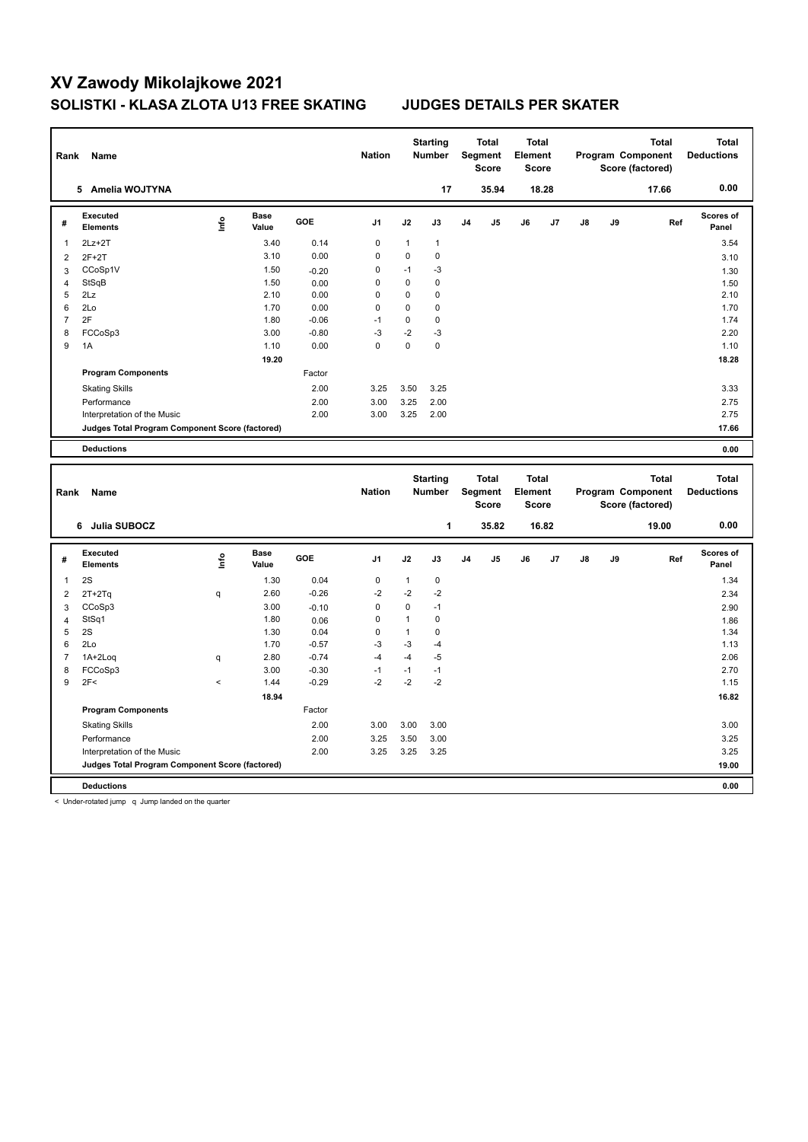| Rank           | Name                                            |                          |                      |              | <b>Nation</b>  |              | <b>Starting</b><br>Number |                | <b>Total</b><br>Segment<br><b>Score</b> | <b>Total</b><br>Element<br><b>Score</b> |       |    |    | <b>Total</b><br>Program Component<br>Score (factored) |     | <b>Total</b><br><b>Deductions</b> |
|----------------|-------------------------------------------------|--------------------------|----------------------|--------------|----------------|--------------|---------------------------|----------------|-----------------------------------------|-----------------------------------------|-------|----|----|-------------------------------------------------------|-----|-----------------------------------|
|                | 5 Amelia WOJTYNA                                |                          |                      |              |                |              | 17                        |                | 35.94                                   |                                         | 18.28 |    |    | 17.66                                                 |     | 0.00                              |
| #              | Executed<br><b>Elements</b>                     | lnfo                     | <b>Base</b><br>Value | GOE          | J <sub>1</sub> | J2           | J3                        | J <sub>4</sub> | J5                                      | J6                                      | J7    | J8 | J9 |                                                       | Ref | <b>Scores of</b><br>Panel         |
| 1              | $2Lz+2T$                                        |                          | 3.40                 | 0.14         | $\mathbf 0$    | 1            | $\mathbf{1}$              |                |                                         |                                         |       |    |    |                                                       |     | 3.54                              |
| $\overline{2}$ | $2F+2T$                                         |                          | 3.10                 | 0.00         | $\mathbf 0$    | $\pmb{0}$    | $\mathbf 0$               |                |                                         |                                         |       |    |    |                                                       |     | 3.10                              |
| 3              | CCoSp1V                                         |                          | 1.50                 | $-0.20$      | $\mathbf 0$    | $-1$         | $-3$                      |                |                                         |                                         |       |    |    |                                                       |     | 1.30                              |
| 4              | StSqB                                           |                          | 1.50                 | 0.00         | $\mathbf 0$    | $\mathbf 0$  | $\mathbf 0$               |                |                                         |                                         |       |    |    |                                                       |     | 1.50                              |
| 5              | 2Lz                                             |                          | 2.10                 | 0.00         | $\mathbf 0$    | $\mathbf 0$  | $\mathbf 0$               |                |                                         |                                         |       |    |    |                                                       |     | 2.10                              |
| 6              | 2Lo                                             |                          | 1.70                 | 0.00         | $\mathbf 0$    | 0            | $\mathbf 0$               |                |                                         |                                         |       |    |    |                                                       |     | 1.70                              |
| $\overline{7}$ | 2F                                              |                          | 1.80                 | $-0.06$      | $-1$           | $\pmb{0}$    | $\mathbf 0$               |                |                                         |                                         |       |    |    |                                                       |     | 1.74                              |
| 8              | FCCoSp3                                         |                          | 3.00                 | $-0.80$      | $-3$           | $-2$         | -3                        |                |                                         |                                         |       |    |    |                                                       |     | 2.20                              |
| 9              | 1A                                              |                          | 1.10                 | 0.00         | $\mathbf 0$    | $\mathbf 0$  | $\mathbf 0$               |                |                                         |                                         |       |    |    |                                                       |     | 1.10                              |
|                |                                                 |                          | 19.20                |              |                |              |                           |                |                                         |                                         |       |    |    |                                                       |     | 18.28                             |
|                | <b>Program Components</b>                       |                          |                      | Factor       |                |              |                           |                |                                         |                                         |       |    |    |                                                       |     |                                   |
|                | <b>Skating Skills</b>                           |                          |                      | 2.00         | 3.25           | 3.50         | 3.25                      |                |                                         |                                         |       |    |    |                                                       |     | 3.33                              |
|                | Performance                                     |                          |                      | 2.00         | 3.00           | 3.25         | 2.00                      |                |                                         |                                         |       |    |    |                                                       |     | 2.75                              |
|                | Interpretation of the Music                     |                          |                      | 2.00         | 3.00           | 3.25         | 2.00                      |                |                                         |                                         |       |    |    |                                                       |     | 2.75                              |
|                | Judges Total Program Component Score (factored) |                          |                      |              |                |              |                           |                |                                         |                                         |       |    |    |                                                       |     | 17.66                             |
|                | <b>Deductions</b>                               |                          |                      |              |                |              |                           |                |                                         |                                         |       |    |    |                                                       |     | 0.00                              |
|                |                                                 |                          |                      |              |                |              |                           |                |                                         |                                         |       |    |    |                                                       |     |                                   |
|                |                                                 |                          |                      |              |                |              |                           |                |                                         |                                         |       |    |    |                                                       |     |                                   |
| Rank           | Name                                            |                          |                      |              | <b>Nation</b>  |              | <b>Starting</b><br>Number |                | <b>Total</b><br>Segment<br><b>Score</b> | <b>Total</b><br>Element<br><b>Score</b> |       |    |    | <b>Total</b><br>Program Component<br>Score (factored) |     | <b>Total</b><br><b>Deductions</b> |
|                | 6 Julia SUBOCZ                                  |                          |                      |              |                |              | $\mathbf{1}$              |                | 35.82                                   |                                         | 16.82 |    |    | 19.00                                                 |     | 0.00                              |
| #              | Executed<br>Elements                            | ١nf٥                     | <b>Base</b><br>Value | GOE          | J <sub>1</sub> | J2           | J3                        | J4             | J5                                      | J6                                      | J7    | J8 | J9 |                                                       | Ref | <b>Scores of</b><br>Panel         |
| $\mathbf{1}$   | 2S                                              |                          | 1.30                 | 0.04         | $\mathbf 0$    | $\mathbf{1}$ | $\mathbf 0$               |                |                                         |                                         |       |    |    |                                                       |     | 1.34                              |
| $\overline{2}$ |                                                 | q                        | 2.60                 | $-0.26$      | $-2$           | $-2$         | $-2$                      |                |                                         |                                         |       |    |    |                                                       |     | 2.34                              |
|                | $2T+2Tq$                                        |                          | 3.00                 |              | $\Omega$       | $\Omega$     | $-1$                      |                |                                         |                                         |       |    |    |                                                       |     |                                   |
| 3              | CCoSp3<br>StSq1                                 |                          | 1.80                 | $-0.10$      | $\mathbf 0$    | $\mathbf{1}$ | $\mathbf 0$               |                |                                         |                                         |       |    |    |                                                       |     | 2.90                              |
| 4<br>5         | 2S                                              |                          | 1.30                 | 0.06<br>0.04 | $\mathbf 0$    | $\mathbf{1}$ | $\mathbf 0$               |                |                                         |                                         |       |    |    |                                                       |     | 1.86<br>1.34                      |
| 6              | 2Lo                                             |                          | 1.70                 | $-0.57$      | $-3$           | $-3$         | -4                        |                |                                         |                                         |       |    |    |                                                       |     | 1.13                              |
| $\overline{7}$ | 1A+2Loq                                         | q                        | 2.80                 | $-0.74$      | $-4$           | $-4$         | $-5$                      |                |                                         |                                         |       |    |    |                                                       |     | 2.06                              |
| 8              | FCCoSp3                                         |                          | 3.00                 | $-0.30$      | $-1$           | $-1$         | $-1$                      |                |                                         |                                         |       |    |    |                                                       |     | 2.70                              |
| 9              | 2F<                                             | $\overline{\phantom{a}}$ | 1.44                 | $-0.29$      | $-2$           | $-2$         | $-2$                      |                |                                         |                                         |       |    |    |                                                       |     | 1.15                              |
|                |                                                 |                          | 18.94                |              |                |              |                           |                |                                         |                                         |       |    |    |                                                       |     | 16.82                             |
|                | <b>Program Components</b>                       |                          |                      | Factor       |                |              |                           |                |                                         |                                         |       |    |    |                                                       |     |                                   |
|                | <b>Skating Skills</b>                           |                          |                      | 2.00         | 3.00           | 3.00         | 3.00                      |                |                                         |                                         |       |    |    |                                                       |     | 3.00                              |
|                | Performance                                     |                          |                      | 2.00         | 3.25           | 3.50         | 3.00                      |                |                                         |                                         |       |    |    |                                                       |     | 3.25                              |
|                | Interpretation of the Music                     |                          |                      | 2.00         | 3.25           | 3.25         | 3.25                      |                |                                         |                                         |       |    |    |                                                       |     | 3.25                              |

**Deductions 0.00**

< Under-rotated jump q Jump landed on the quarter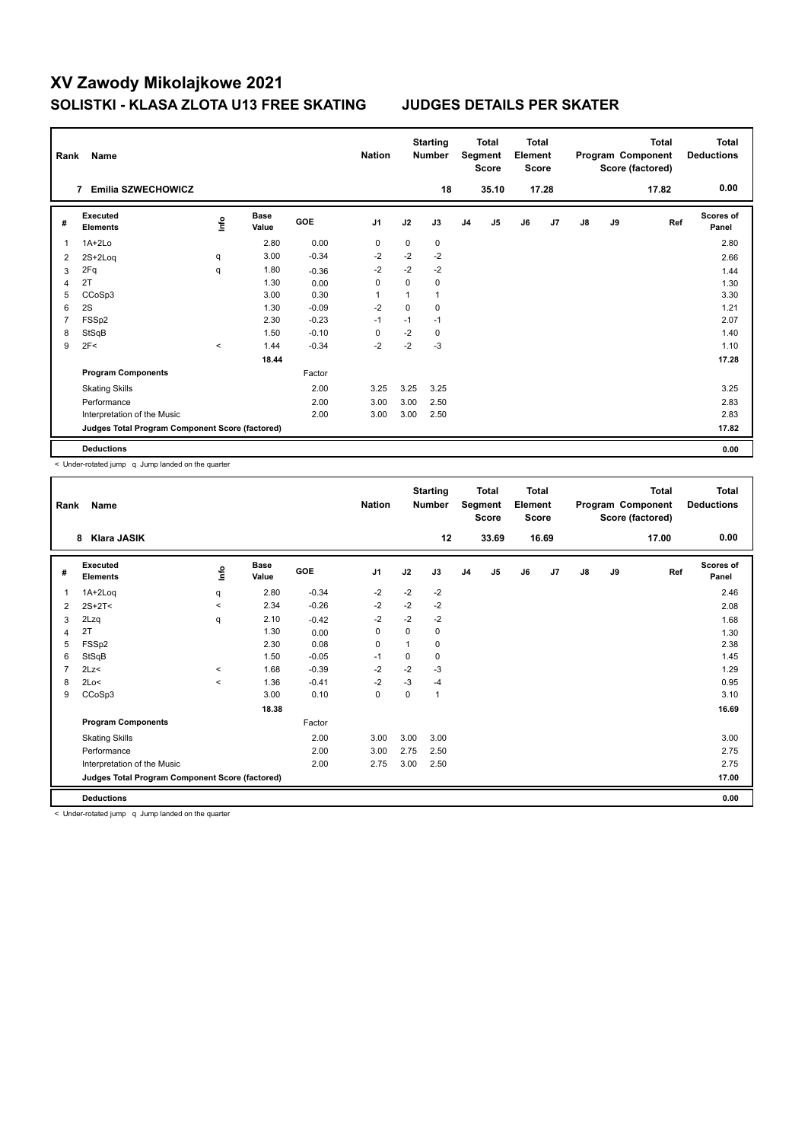| Rank           | Name                                            |               |                      |            | <b>Nation</b>  |             | <b>Starting</b><br><b>Number</b> |                | <b>Total</b><br>Segment<br><b>Score</b> | <b>Total</b><br>Element<br><b>Score</b> |                |               |    | <b>Total</b><br>Program Component<br>Score (factored) | Total<br><b>Deductions</b> |
|----------------|-------------------------------------------------|---------------|----------------------|------------|----------------|-------------|----------------------------------|----------------|-----------------------------------------|-----------------------------------------|----------------|---------------|----|-------------------------------------------------------|----------------------------|
|                | <b>Emilia SZWECHOWICZ</b><br>7                  |               |                      |            |                |             | 18                               |                | 35.10                                   |                                         | 17.28          |               |    | 17.82                                                 | 0.00                       |
| #              | Executed<br><b>Elements</b>                     | $\frac{6}{2}$ | <b>Base</b><br>Value | <b>GOE</b> | J <sub>1</sub> | J2          | J3                               | J <sub>4</sub> | J5                                      | J6                                      | J <sub>7</sub> | $\mathsf{J}8$ | J9 | Ref                                                   | Scores of<br>Panel         |
| 1              | 1A+2Lo                                          |               | 2.80                 | 0.00       | 0              | $\mathbf 0$ | 0                                |                |                                         |                                         |                |               |    |                                                       | 2.80                       |
| 2              | $2S+2Log$                                       | q             | 3.00                 | $-0.34$    | -2             | $-2$        | $-2$                             |                |                                         |                                         |                |               |    |                                                       | 2.66                       |
| 3              | 2Fq                                             | q             | 1.80                 | $-0.36$    | $-2$           | $-2$        | $-2$                             |                |                                         |                                         |                |               |    |                                                       | 1.44                       |
| 4              | 2T                                              |               | 1.30                 | 0.00       | 0              | 0           | 0                                |                |                                         |                                         |                |               |    |                                                       | 1.30                       |
| 5              | CCoSp3                                          |               | 3.00                 | 0.30       | 1              |             | 1                                |                |                                         |                                         |                |               |    |                                                       | 3.30                       |
| 6              | 2S                                              |               | 1.30                 | $-0.09$    | $-2$           | $\mathbf 0$ | 0                                |                |                                         |                                         |                |               |    |                                                       | 1.21                       |
| $\overline{7}$ | FSS <sub>p2</sub>                               |               | 2.30                 | $-0.23$    | $-1$           | $-1$        | $-1$                             |                |                                         |                                         |                |               |    |                                                       | 2.07                       |
| 8              | StSqB                                           |               | 1.50                 | $-0.10$    | 0              | $-2$        | 0                                |                |                                         |                                         |                |               |    |                                                       | 1.40                       |
| 9              | 2F<                                             | $\hat{}$      | 1.44                 | $-0.34$    | $-2$           | $-2$        | $-3$                             |                |                                         |                                         |                |               |    |                                                       | 1.10                       |
|                |                                                 |               | 18.44                |            |                |             |                                  |                |                                         |                                         |                |               |    |                                                       | 17.28                      |
|                | <b>Program Components</b>                       |               |                      | Factor     |                |             |                                  |                |                                         |                                         |                |               |    |                                                       |                            |
|                | <b>Skating Skills</b>                           |               |                      | 2.00       | 3.25           | 3.25        | 3.25                             |                |                                         |                                         |                |               |    |                                                       | 3.25                       |
|                | Performance                                     |               |                      | 2.00       | 3.00           | 3.00        | 2.50                             |                |                                         |                                         |                |               |    |                                                       | 2.83                       |
|                | Interpretation of the Music                     |               |                      | 2.00       | 3.00           | 3.00        | 2.50                             |                |                                         |                                         |                |               |    |                                                       | 2.83                       |
|                | Judges Total Program Component Score (factored) |               |                      |            |                |             |                                  |                |                                         |                                         |                |               |    |                                                       | 17.82                      |
|                | <b>Deductions</b>                               |               |                      |            |                |             |                                  |                |                                         |                                         |                |               |    |                                                       | 0.00                       |

< Under-rotated jump q Jump landed on the quarter

| Rank | Name                                            |         |                      |            | <b>Nation</b>  |      | <b>Starting</b><br><b>Number</b> |                | Total<br>Segment<br><b>Score</b> | <b>Total</b><br>Element<br><b>Score</b> |       |               |    | <b>Total</b><br>Program Component<br>Score (factored) | <b>Total</b><br><b>Deductions</b> |
|------|-------------------------------------------------|---------|----------------------|------------|----------------|------|----------------------------------|----------------|----------------------------------|-----------------------------------------|-------|---------------|----|-------------------------------------------------------|-----------------------------------|
|      | Klara JASIK<br>8                                |         |                      |            |                |      | 12                               |                | 33.69                            |                                         | 16.69 |               |    | 17.00                                                 | 0.00                              |
| #    | Executed<br><b>Elements</b>                     | ١nto    | <b>Base</b><br>Value | <b>GOE</b> | J <sub>1</sub> | J2   | J3                               | J <sub>4</sub> | J5                               | J6                                      | J7    | $\mathsf{J}8$ | J9 | Ref                                                   | <b>Scores of</b><br>Panel         |
| 1    | 1A+2Loq                                         | q       | 2.80                 | $-0.34$    | $-2$           | $-2$ | $-2$                             |                |                                  |                                         |       |               |    |                                                       | 2.46                              |
| 2    | $2S+2T<$                                        | $\,<\,$ | 2.34                 | $-0.26$    | $-2$           | $-2$ | $-2$                             |                |                                  |                                         |       |               |    |                                                       | 2.08                              |
| 3    | 2Lzq                                            | q       | 2.10                 | $-0.42$    | $-2$           | $-2$ | $-2$                             |                |                                  |                                         |       |               |    |                                                       | 1.68                              |
| 4    | 2T                                              |         | 1.30                 | 0.00       | 0              | 0    | 0                                |                |                                  |                                         |       |               |    |                                                       | 1.30                              |
| 5    | FSSp2                                           |         | 2.30                 | 0.08       | 0              | 1    | 0                                |                |                                  |                                         |       |               |    |                                                       | 2.38                              |
| 6    | StSqB                                           |         | 1.50                 | $-0.05$    | $-1$           | 0    | 0                                |                |                                  |                                         |       |               |    |                                                       | 1.45                              |
| 7    | 2Lz<                                            | $\,<\,$ | 1.68                 | $-0.39$    | $-2$           | $-2$ | $-3$                             |                |                                  |                                         |       |               |    |                                                       | 1.29                              |
| 8    | 2Lo<                                            | $\prec$ | 1.36                 | $-0.41$    | $-2$           | $-3$ | $-4$                             |                |                                  |                                         |       |               |    |                                                       | 0.95                              |
| 9    | CCoSp3                                          |         | 3.00                 | 0.10       | $\mathbf 0$    | 0    | $\mathbf{1}$                     |                |                                  |                                         |       |               |    |                                                       | 3.10                              |
|      |                                                 |         | 18.38                |            |                |      |                                  |                |                                  |                                         |       |               |    |                                                       | 16.69                             |
|      | <b>Program Components</b>                       |         |                      | Factor     |                |      |                                  |                |                                  |                                         |       |               |    |                                                       |                                   |
|      | <b>Skating Skills</b>                           |         |                      | 2.00       | 3.00           | 3.00 | 3.00                             |                |                                  |                                         |       |               |    |                                                       | 3.00                              |
|      | Performance                                     |         |                      | 2.00       | 3.00           | 2.75 | 2.50                             |                |                                  |                                         |       |               |    |                                                       | 2.75                              |
|      | Interpretation of the Music                     |         |                      | 2.00       | 2.75           | 3.00 | 2.50                             |                |                                  |                                         |       |               |    |                                                       | 2.75                              |
|      | Judges Total Program Component Score (factored) |         |                      |            |                |      |                                  |                |                                  |                                         |       |               |    |                                                       | 17.00                             |
|      | <b>Deductions</b>                               |         |                      |            |                |      |                                  |                |                                  |                                         |       |               |    |                                                       | 0.00                              |
|      | .                                               |         |                      |            |                |      |                                  |                |                                  |                                         |       |               |    |                                                       |                                   |

< Under-rotated jump q Jump landed on the quarter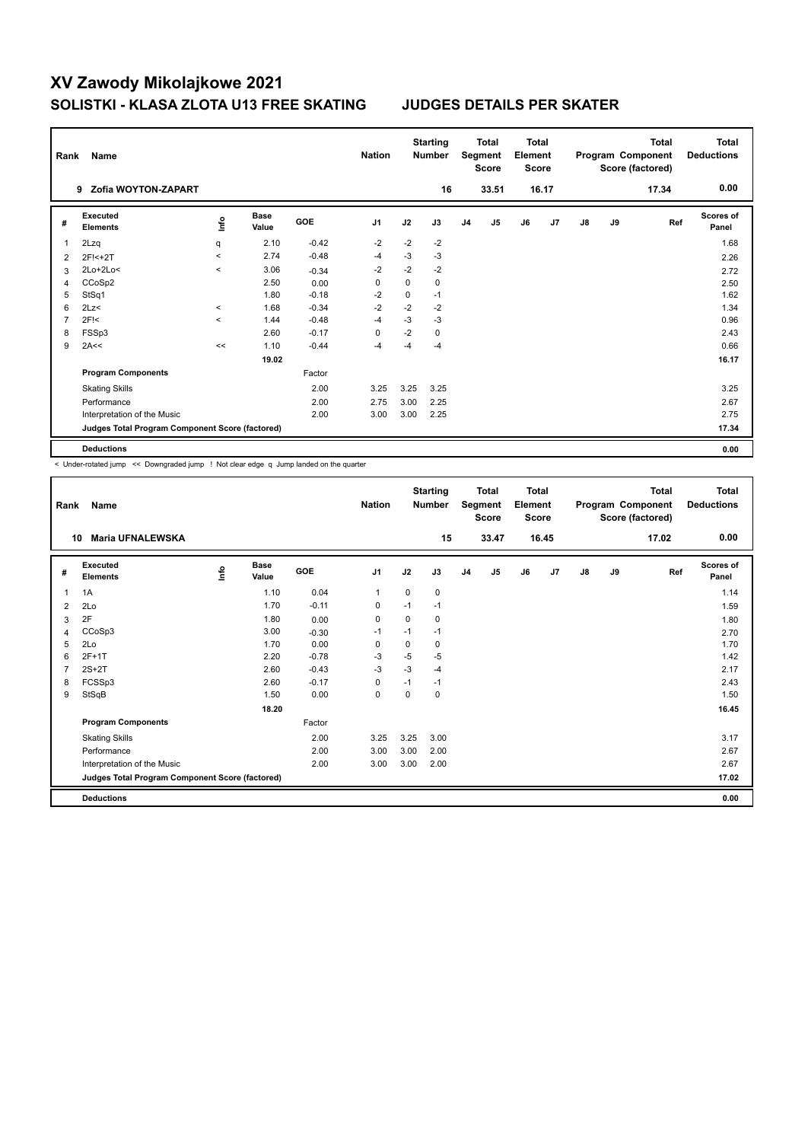| Rank           | Name                                            |         |                      |         | <b>Nation</b>  |      | <b>Starting</b><br><b>Number</b> |                | <b>Total</b><br>Segment<br><b>Score</b> | Total<br>Element<br><b>Score</b> |       |    |    | <b>Total</b><br>Program Component<br>Score (factored) | Total<br><b>Deductions</b> |
|----------------|-------------------------------------------------|---------|----------------------|---------|----------------|------|----------------------------------|----------------|-----------------------------------------|----------------------------------|-------|----|----|-------------------------------------------------------|----------------------------|
|                | Zofia WOYTON-ZAPART<br>9                        |         |                      |         |                |      | 16                               |                | 33.51                                   |                                  | 16.17 |    |    | 17.34                                                 | 0.00                       |
| #              | Executed<br><b>Elements</b>                     | ١nto    | <b>Base</b><br>Value | GOE     | J <sub>1</sub> | J2   | J3                               | J <sub>4</sub> | J <sub>5</sub>                          | J6                               | J7    | J8 | J9 | Ref                                                   | Scores of<br>Panel         |
| 1              | 2Lzq                                            | q       | 2.10                 | $-0.42$ | $-2$           | $-2$ | $-2$                             |                |                                         |                                  |       |    |    |                                                       | 1.68                       |
| 2              | 2F!<+2T                                         | $\prec$ | 2.74                 | $-0.48$ | -4             | $-3$ | $-3$                             |                |                                         |                                  |       |    |    |                                                       | 2.26                       |
| 3              | $2Lo+2Lo<$                                      | $\prec$ | 3.06                 | $-0.34$ | $-2$           | $-2$ | $-2$                             |                |                                         |                                  |       |    |    |                                                       | 2.72                       |
| 4              | CCoSp2                                          |         | 2.50                 | 0.00    | 0              | 0    | 0                                |                |                                         |                                  |       |    |    |                                                       | 2.50                       |
| 5              | StSq1                                           |         | 1.80                 | $-0.18$ | $-2$           | 0    | $-1$                             |                |                                         |                                  |       |    |    |                                                       | 1.62                       |
| 6              | 2Lz                                             | $\prec$ | 1.68                 | $-0.34$ | $-2$           | $-2$ | $-2$                             |                |                                         |                                  |       |    |    |                                                       | 1.34                       |
| $\overline{7}$ | $2F$ !<                                         | $\prec$ | 1.44                 | $-0.48$ | $-4$           | $-3$ | $-3$                             |                |                                         |                                  |       |    |    |                                                       | 0.96                       |
| 8              | FSSp3                                           |         | 2.60                 | $-0.17$ | 0              | $-2$ | 0                                |                |                                         |                                  |       |    |    |                                                       | 2.43                       |
| 9              | 2A<<                                            | <<      | 1.10                 | $-0.44$ | -4             | $-4$ | $-4$                             |                |                                         |                                  |       |    |    |                                                       | 0.66                       |
|                |                                                 |         | 19.02                |         |                |      |                                  |                |                                         |                                  |       |    |    |                                                       | 16.17                      |
|                | <b>Program Components</b>                       |         |                      | Factor  |                |      |                                  |                |                                         |                                  |       |    |    |                                                       |                            |
|                | <b>Skating Skills</b>                           |         |                      | 2.00    | 3.25           | 3.25 | 3.25                             |                |                                         |                                  |       |    |    |                                                       | 3.25                       |
|                | Performance                                     |         |                      | 2.00    | 2.75           | 3.00 | 2.25                             |                |                                         |                                  |       |    |    |                                                       | 2.67                       |
|                | Interpretation of the Music                     |         |                      | 2.00    | 3.00           | 3.00 | 2.25                             |                |                                         |                                  |       |    |    |                                                       | 2.75                       |
|                | Judges Total Program Component Score (factored) |         |                      |         |                |      |                                  |                |                                         |                                  |       |    |    |                                                       | 17.34                      |
|                | <b>Deductions</b>                               |         |                      |         |                |      |                                  |                |                                         |                                  |       |    |    |                                                       | 0.00                       |

< Under-rotated jump << Downgraded jump ! Not clear edge q Jump landed on the quarter

| Rank           | Name                                            |      |                      |         | <b>Nation</b>  |          | <b>Starting</b><br><b>Number</b> |                | <b>Total</b><br>Segment<br><b>Score</b> | <b>Total</b><br>Element<br><b>Score</b> |       |               |    | <b>Total</b><br>Program Component<br>Score (factored) | <b>Total</b><br><b>Deductions</b> |
|----------------|-------------------------------------------------|------|----------------------|---------|----------------|----------|----------------------------------|----------------|-----------------------------------------|-----------------------------------------|-------|---------------|----|-------------------------------------------------------|-----------------------------------|
| 10             | <b>Maria UFNALEWSKA</b>                         |      |                      |         |                |          | 15                               |                | 33.47                                   |                                         | 16.45 |               |    | 17.02                                                 | 0.00                              |
| #              | Executed<br><b>Elements</b>                     | ١nf٥ | <b>Base</b><br>Value | GOE     | J <sub>1</sub> | J2       | J3                               | J <sub>4</sub> | J5                                      | J6                                      | J7    | $\mathsf{J}8$ | J9 | Ref                                                   | <b>Scores of</b><br>Panel         |
| $\mathbf{1}$   | 1A                                              |      | 1.10                 | 0.04    | $\mathbf{1}$   | 0        | 0                                |                |                                         |                                         |       |               |    |                                                       | 1.14                              |
| $\overline{2}$ | 2Lo                                             |      | 1.70                 | $-0.11$ | 0              | $-1$     | $-1$                             |                |                                         |                                         |       |               |    |                                                       | 1.59                              |
| 3              | 2F                                              |      | 1.80                 | 0.00    | 0              | 0        | 0                                |                |                                         |                                         |       |               |    |                                                       | 1.80                              |
| 4              | CCoSp3                                          |      | 3.00                 | $-0.30$ | $-1$           | $-1$     | $-1$                             |                |                                         |                                         |       |               |    |                                                       | 2.70                              |
| 5              | 2Lo                                             |      | 1.70                 | 0.00    | 0              | 0        | 0                                |                |                                         |                                         |       |               |    |                                                       | 1.70                              |
| 6              | $2F+1T$                                         |      | 2.20                 | $-0.78$ | $-3$           | $-5$     | $-5$                             |                |                                         |                                         |       |               |    |                                                       | 1.42                              |
| $\overline{7}$ | $2S+2T$                                         |      | 2.60                 | $-0.43$ | $-3$           | $-3$     | $-4$                             |                |                                         |                                         |       |               |    |                                                       | 2.17                              |
| 8              | FCSSp3                                          |      | 2.60                 | $-0.17$ | 0              | $-1$     | $-1$                             |                |                                         |                                         |       |               |    |                                                       | 2.43                              |
| 9              | StSqB                                           |      | 1.50                 | 0.00    | $\mathbf 0$    | $\Omega$ | 0                                |                |                                         |                                         |       |               |    |                                                       | 1.50                              |
|                |                                                 |      | 18.20                |         |                |          |                                  |                |                                         |                                         |       |               |    |                                                       | 16.45                             |
|                | <b>Program Components</b>                       |      |                      | Factor  |                |          |                                  |                |                                         |                                         |       |               |    |                                                       |                                   |
|                | <b>Skating Skills</b>                           |      |                      | 2.00    | 3.25           | 3.25     | 3.00                             |                |                                         |                                         |       |               |    |                                                       | 3.17                              |
|                | Performance                                     |      |                      | 2.00    | 3.00           | 3.00     | 2.00                             |                |                                         |                                         |       |               |    |                                                       | 2.67                              |
|                | Interpretation of the Music                     |      |                      | 2.00    | 3.00           | 3.00     | 2.00                             |                |                                         |                                         |       |               |    |                                                       | 2.67                              |
|                | Judges Total Program Component Score (factored) |      |                      |         |                |          |                                  |                |                                         |                                         |       |               |    |                                                       | 17.02                             |
|                | <b>Deductions</b>                               |      |                      |         |                |          |                                  |                |                                         |                                         |       |               |    |                                                       | 0.00                              |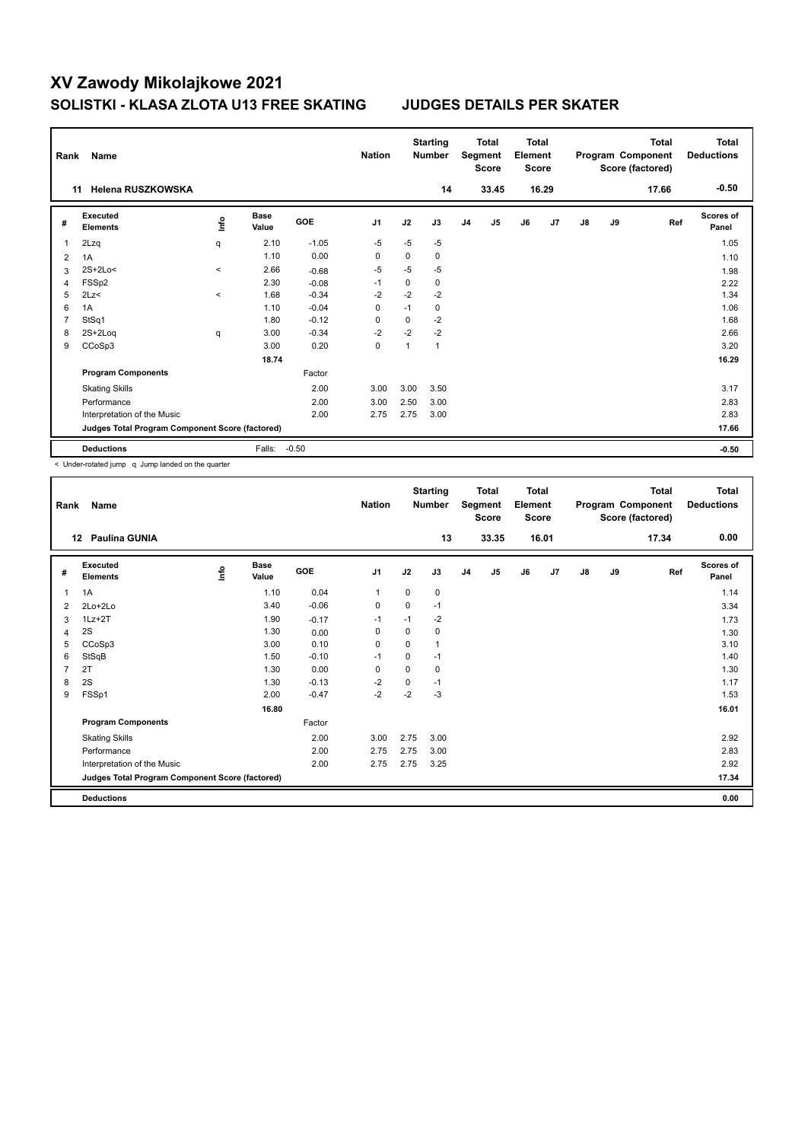| Rank | Name                                            |         |               |            | <b>Nation</b>  |              | <b>Starting</b><br><b>Number</b> |                | <b>Total</b><br>Segment<br>Score | <b>Total</b><br>Element<br><b>Score</b> |       |    |    | <b>Total</b><br>Program Component<br>Score (factored) | <b>Total</b><br><b>Deductions</b> |
|------|-------------------------------------------------|---------|---------------|------------|----------------|--------------|----------------------------------|----------------|----------------------------------|-----------------------------------------|-------|----|----|-------------------------------------------------------|-----------------------------------|
| 11   | <b>Helena RUSZKOWSKA</b>                        |         |               |            |                |              | 14                               |                | 33.45                            |                                         | 16.29 |    |    | 17.66                                                 | $-0.50$                           |
| #    | <b>Executed</b><br><b>Elements</b>              | lnfo    | Base<br>Value | <b>GOE</b> | J <sub>1</sub> | J2           | J3                               | J <sub>4</sub> | J <sub>5</sub>                   | J6                                      | J7    | J8 | J9 | Ref                                                   | Scores of<br>Panel                |
| 1    | 2Lzq                                            | q       | 2.10          | $-1.05$    | $-5$           | $-5$         | $-5$                             |                |                                  |                                         |       |    |    |                                                       | 1.05                              |
| 2    | 1A                                              |         | 1.10          | 0.00       | 0              | 0            | 0                                |                |                                  |                                         |       |    |    |                                                       | 1.10                              |
| 3    | $2S+2Lo<$                                       | $\prec$ | 2.66          | $-0.68$    | $-5$           | $-5$         | $-5$                             |                |                                  |                                         |       |    |    |                                                       | 1.98                              |
| 4    | FSSp2                                           |         | 2.30          | $-0.08$    | $-1$           | 0            | 0                                |                |                                  |                                         |       |    |    |                                                       | 2.22                              |
| 5    | 2Lz                                             | $\prec$ | 1.68          | $-0.34$    | $-2$           | $-2$         | $-2$                             |                |                                  |                                         |       |    |    |                                                       | 1.34                              |
| 6    | 1A                                              |         | 1.10          | $-0.04$    | $\mathbf 0$    | $-1$         | $\mathbf 0$                      |                |                                  |                                         |       |    |    |                                                       | 1.06                              |
| 7    | StSq1                                           |         | 1.80          | $-0.12$    | 0              | 0            | $-2$                             |                |                                  |                                         |       |    |    |                                                       | 1.68                              |
| 8    | $2S+2Log$                                       | q       | 3.00          | $-0.34$    | $-2$           | $-2$         | $-2$                             |                |                                  |                                         |       |    |    |                                                       | 2.66                              |
| 9    | CCoSp3                                          |         | 3.00          | 0.20       | 0              | $\mathbf{1}$ | $\mathbf{1}$                     |                |                                  |                                         |       |    |    |                                                       | 3.20                              |
|      |                                                 |         | 18.74         |            |                |              |                                  |                |                                  |                                         |       |    |    |                                                       | 16.29                             |
|      | <b>Program Components</b>                       |         |               | Factor     |                |              |                                  |                |                                  |                                         |       |    |    |                                                       |                                   |
|      | <b>Skating Skills</b>                           |         |               | 2.00       | 3.00           | 3.00         | 3.50                             |                |                                  |                                         |       |    |    |                                                       | 3.17                              |
|      | Performance                                     |         |               | 2.00       | 3.00           | 2.50         | 3.00                             |                |                                  |                                         |       |    |    |                                                       | 2.83                              |
|      | Interpretation of the Music                     |         |               | 2.00       | 2.75           | 2.75         | 3.00                             |                |                                  |                                         |       |    |    |                                                       | 2.83                              |
|      | Judges Total Program Component Score (factored) |         |               |            |                |              |                                  |                |                                  |                                         |       |    |    |                                                       | 17.66                             |
|      | <b>Deductions</b>                               |         | Falls:        | $-0.50$    |                |              |                                  |                |                                  |                                         |       |    |    |                                                       | $-0.50$                           |

< Under-rotated jump q Jump landed on the quarter

| Rank | Name                                            |      |                      |            | <b>Nation</b>  |             | <b>Starting</b><br><b>Number</b> |                | <b>Total</b><br>Segment<br><b>Score</b> | <b>Total</b><br>Element<br><b>Score</b> |       |               |    | <b>Total</b><br>Program Component<br>Score (factored) | <b>Total</b><br><b>Deductions</b> |
|------|-------------------------------------------------|------|----------------------|------------|----------------|-------------|----------------------------------|----------------|-----------------------------------------|-----------------------------------------|-------|---------------|----|-------------------------------------------------------|-----------------------------------|
|      | <b>Paulina GUNIA</b><br>$12 \,$                 |      |                      |            |                |             | 13                               |                | 33.35                                   |                                         | 16.01 |               |    | 17.34                                                 | 0.00                              |
| #    | Executed<br><b>Elements</b>                     | lnfo | <b>Base</b><br>Value | <b>GOE</b> | J <sub>1</sub> | J2          | J3                               | J <sub>4</sub> | J5                                      | J6                                      | J7    | $\mathsf{J}8$ | J9 | Ref                                                   | Scores of<br>Panel                |
| 1    | 1A                                              |      | 1.10                 | 0.04       | 1              | 0           | 0                                |                |                                         |                                         |       |               |    |                                                       | 1.14                              |
| 2    | $2Lo+2Lo$                                       |      | 3.40                 | $-0.06$    | 0              | $\Omega$    | $-1$                             |                |                                         |                                         |       |               |    |                                                       | 3.34                              |
| 3    | $1Lz + 2T$                                      |      | 1.90                 | $-0.17$    | $-1$           | $-1$        | -2                               |                |                                         |                                         |       |               |    |                                                       | 1.73                              |
| 4    | 2S                                              |      | 1.30                 | 0.00       | 0              | $\Omega$    | 0                                |                |                                         |                                         |       |               |    |                                                       | 1.30                              |
| 5    | CCoSp3                                          |      | 3.00                 | 0.10       | $\Omega$       | $\Omega$    | 1                                |                |                                         |                                         |       |               |    |                                                       | 3.10                              |
| 6    | StSqB                                           |      | 1.50                 | $-0.10$    | $-1$           | $\mathbf 0$ | $-1$                             |                |                                         |                                         |       |               |    |                                                       | 1.40                              |
| 7    | 2T                                              |      | 1.30                 | 0.00       | 0              | $\Omega$    | 0                                |                |                                         |                                         |       |               |    |                                                       | 1.30                              |
| 8    | 2S                                              |      | 1.30                 | $-0.13$    | $-2$           | $\Omega$    | $-1$                             |                |                                         |                                         |       |               |    |                                                       | 1.17                              |
| 9    | FSSp1                                           |      | 2.00                 | $-0.47$    | $-2$           | $-2$        | $-3$                             |                |                                         |                                         |       |               |    |                                                       | 1.53                              |
|      |                                                 |      | 16.80                |            |                |             |                                  |                |                                         |                                         |       |               |    |                                                       | 16.01                             |
|      | <b>Program Components</b>                       |      |                      | Factor     |                |             |                                  |                |                                         |                                         |       |               |    |                                                       |                                   |
|      | <b>Skating Skills</b>                           |      |                      | 2.00       | 3.00           | 2.75        | 3.00                             |                |                                         |                                         |       |               |    |                                                       | 2.92                              |
|      | Performance                                     |      |                      | 2.00       | 2.75           | 2.75        | 3.00                             |                |                                         |                                         |       |               |    |                                                       | 2.83                              |
|      | Interpretation of the Music                     |      |                      | 2.00       | 2.75           | 2.75        | 3.25                             |                |                                         |                                         |       |               |    |                                                       | 2.92                              |
|      | Judges Total Program Component Score (factored) |      |                      |            |                |             |                                  |                |                                         |                                         |       |               |    |                                                       | 17.34                             |
|      | <b>Deductions</b>                               |      |                      |            |                |             |                                  |                |                                         |                                         |       |               |    |                                                       | 0.00                              |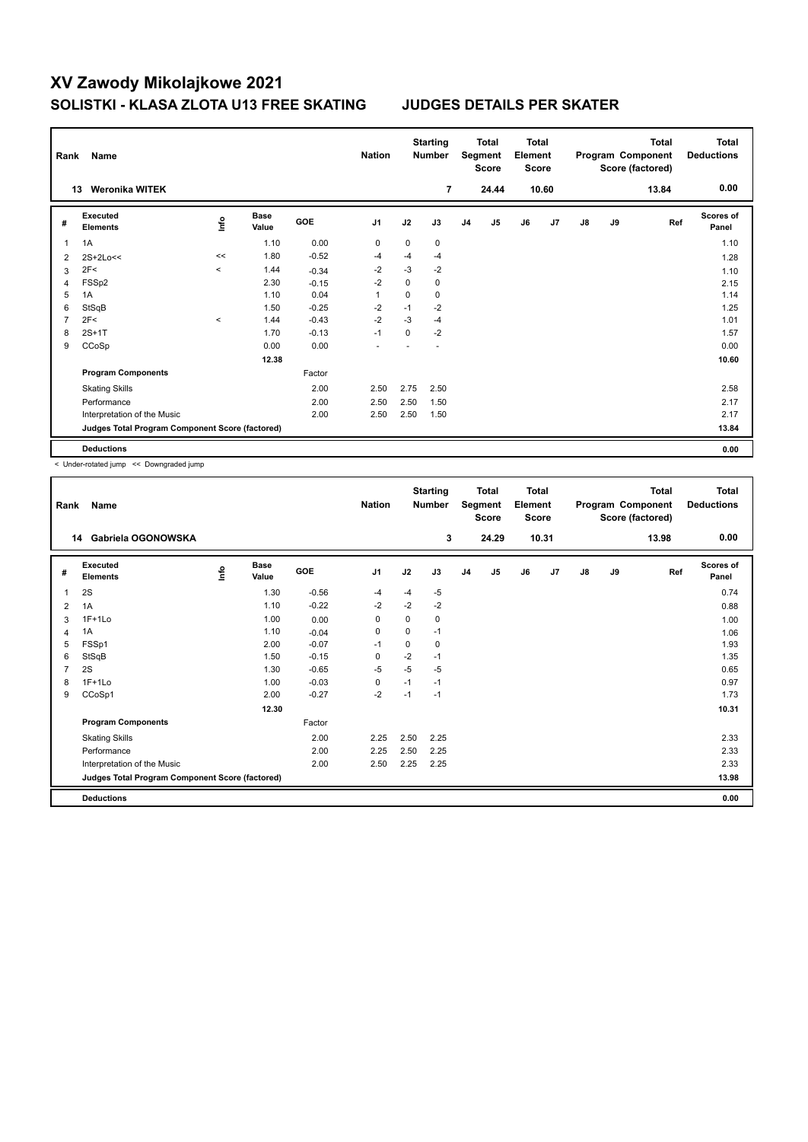| Rank           | Name                                            |         |                      |            | <b>Nation</b>  |      | <b>Starting</b><br><b>Number</b> |                | <b>Total</b><br>Segment<br><b>Score</b> | <b>Total</b><br>Element<br><b>Score</b> |       |               |    | <b>Total</b><br>Program Component<br>Score (factored) | <b>Total</b><br><b>Deductions</b> |
|----------------|-------------------------------------------------|---------|----------------------|------------|----------------|------|----------------------------------|----------------|-----------------------------------------|-----------------------------------------|-------|---------------|----|-------------------------------------------------------|-----------------------------------|
|                | <b>Weronika WITEK</b><br>13                     |         |                      |            |                |      | $\overline{7}$                   |                | 24.44                                   |                                         | 10.60 |               |    | 13.84                                                 | 0.00                              |
| #              | Executed<br><b>Elements</b>                     | ۴ů      | <b>Base</b><br>Value | <b>GOE</b> | J <sub>1</sub> | J2   | J3                               | J <sub>4</sub> | J5                                      | J6                                      | J7    | $\mathsf{J}8$ | J9 | Ref                                                   | <b>Scores of</b><br>Panel         |
| 1              | 1A                                              |         | 1.10                 | 0.00       | 0              | 0    | 0                                |                |                                         |                                         |       |               |    |                                                       | 1.10                              |
| $\overline{2}$ | $2S+2Lo<<$                                      | <<      | 1.80                 | $-0.52$    | $-4$           | $-4$ | $-4$                             |                |                                         |                                         |       |               |    |                                                       | 1.28                              |
| 3              | 2F<                                             | $\prec$ | 1.44                 | $-0.34$    | $-2$           | $-3$ | $-2$                             |                |                                         |                                         |       |               |    |                                                       | 1.10                              |
| 4              | FSSp2                                           |         | 2.30                 | $-0.15$    | $-2$           | 0    | $\mathbf 0$                      |                |                                         |                                         |       |               |    |                                                       | 2.15                              |
| 5              | 1A                                              |         | 1.10                 | 0.04       | 1              | 0    | 0                                |                |                                         |                                         |       |               |    |                                                       | 1.14                              |
| 6              | StSqB                                           |         | 1.50                 | $-0.25$    | $-2$           | $-1$ | $-2$                             |                |                                         |                                         |       |               |    |                                                       | 1.25                              |
| 7              | 2F<                                             | $\prec$ | 1.44                 | $-0.43$    | $-2$           | $-3$ | $-4$                             |                |                                         |                                         |       |               |    |                                                       | 1.01                              |
| 8              | $2S+1T$                                         |         | 1.70                 | $-0.13$    | $-1$           | 0    | $-2$                             |                |                                         |                                         |       |               |    |                                                       | 1.57                              |
| 9              | CCoSp                                           |         | 0.00                 | 0.00       |                |      |                                  |                |                                         |                                         |       |               |    |                                                       | 0.00                              |
|                |                                                 |         | 12.38                |            |                |      |                                  |                |                                         |                                         |       |               |    |                                                       | 10.60                             |
|                | <b>Program Components</b>                       |         |                      | Factor     |                |      |                                  |                |                                         |                                         |       |               |    |                                                       |                                   |
|                | <b>Skating Skills</b>                           |         |                      | 2.00       | 2.50           | 2.75 | 2.50                             |                |                                         |                                         |       |               |    |                                                       | 2.58                              |
|                | Performance                                     |         |                      | 2.00       | 2.50           | 2.50 | 1.50                             |                |                                         |                                         |       |               |    |                                                       | 2.17                              |
|                | Interpretation of the Music                     |         |                      | 2.00       | 2.50           | 2.50 | 1.50                             |                |                                         |                                         |       |               |    |                                                       | 2.17                              |
|                | Judges Total Program Component Score (factored) |         |                      |            |                |      |                                  |                |                                         |                                         |       |               |    |                                                       | 13.84                             |
|                | <b>Deductions</b>                               |         |                      |            |                |      |                                  |                |                                         |                                         |       |               |    |                                                       | 0.00                              |

< Under-rotated jump << Downgraded jump

| Rank           | Name                                            |      |                      |         | <b>Nation</b> |      | <b>Starting</b><br><b>Number</b> |                | <b>Total</b><br>Segment<br><b>Score</b> | <b>Total</b><br>Element<br><b>Score</b> |       |               |    | Total<br>Program Component<br>Score (factored) | <b>Total</b><br><b>Deductions</b> |
|----------------|-------------------------------------------------|------|----------------------|---------|---------------|------|----------------------------------|----------------|-----------------------------------------|-----------------------------------------|-------|---------------|----|------------------------------------------------|-----------------------------------|
|                | Gabriela OGONOWSKA<br>14                        |      |                      |         |               |      | 3                                |                | 24.29                                   |                                         | 10.31 |               |    | 13.98                                          | 0.00                              |
| #              | Executed<br><b>Elements</b>                     | lnfo | <b>Base</b><br>Value | GOE     | J1            | J2   | J3                               | J <sub>4</sub> | J5                                      | J6                                      | J7    | $\mathsf{J}8$ | J9 | Ref                                            | <b>Scores of</b><br>Panel         |
| 1              | 2S                                              |      | 1.30                 | $-0.56$ | $-4$          | $-4$ | $-5$                             |                |                                         |                                         |       |               |    |                                                | 0.74                              |
| 2              | 1A                                              |      | 1.10                 | $-0.22$ | $-2$          | $-2$ | $-2$                             |                |                                         |                                         |       |               |    |                                                | 0.88                              |
| 3              | $1F+1Lo$                                        |      | 1.00                 | 0.00    | 0             | 0    | 0                                |                |                                         |                                         |       |               |    |                                                | 1.00                              |
| 4              | 1A                                              |      | 1.10                 | $-0.04$ | 0             | 0    | $-1$                             |                |                                         |                                         |       |               |    |                                                | 1.06                              |
| 5              | FSSp1                                           |      | 2.00                 | $-0.07$ | $-1$          | 0    | 0                                |                |                                         |                                         |       |               |    |                                                | 1.93                              |
| 6              | StSqB                                           |      | 1.50                 | $-0.15$ | 0             | $-2$ | $-1$                             |                |                                         |                                         |       |               |    |                                                | 1.35                              |
| $\overline{7}$ | 2S                                              |      | 1.30                 | $-0.65$ | -5            | $-5$ | $-5$                             |                |                                         |                                         |       |               |    |                                                | 0.65                              |
| 8              | $1F+1Lo$                                        |      | 1.00                 | $-0.03$ | 0             | $-1$ | $-1$                             |                |                                         |                                         |       |               |    |                                                | 0.97                              |
| 9              | CCoSp1                                          |      | 2.00                 | $-0.27$ | -2            | $-1$ | $-1$                             |                |                                         |                                         |       |               |    |                                                | 1.73                              |
|                |                                                 |      | 12.30                |         |               |      |                                  |                |                                         |                                         |       |               |    |                                                | 10.31                             |
|                | <b>Program Components</b>                       |      |                      | Factor  |               |      |                                  |                |                                         |                                         |       |               |    |                                                |                                   |
|                | <b>Skating Skills</b>                           |      |                      | 2.00    | 2.25          | 2.50 | 2.25                             |                |                                         |                                         |       |               |    |                                                | 2.33                              |
|                | Performance                                     |      |                      | 2.00    | 2.25          | 2.50 | 2.25                             |                |                                         |                                         |       |               |    |                                                | 2.33                              |
|                | Interpretation of the Music                     |      |                      | 2.00    | 2.50          | 2.25 | 2.25                             |                |                                         |                                         |       |               |    |                                                | 2.33                              |
|                | Judges Total Program Component Score (factored) |      |                      |         |               |      |                                  |                |                                         |                                         |       |               |    |                                                | 13.98                             |
|                | <b>Deductions</b>                               |      |                      |         |               |      |                                  |                |                                         |                                         |       |               |    |                                                | 0.00                              |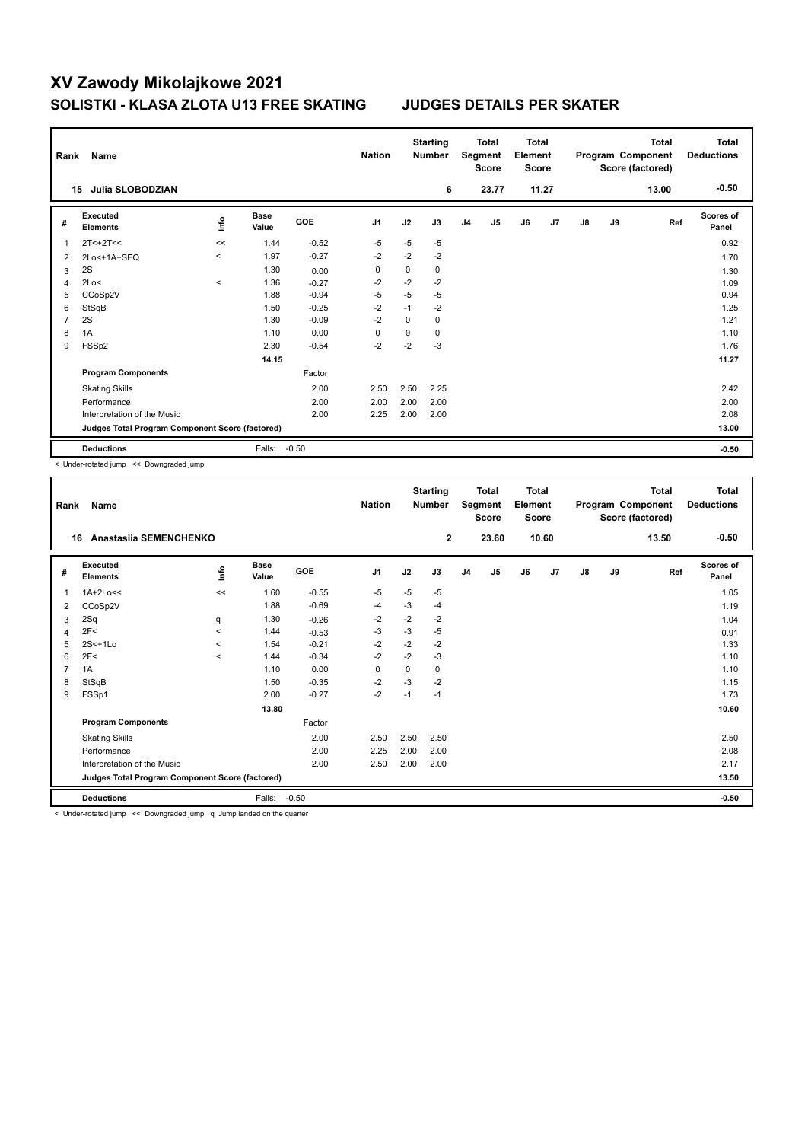| Rank | Name                                            |                                  |                      |            | <b>Nation</b>  |      | <b>Starting</b><br><b>Number</b> |                | <b>Total</b><br>Segment<br><b>Score</b> | Total<br>Element<br><b>Score</b> |                |    |    | <b>Total</b><br>Program Component<br>Score (factored) | <b>Total</b><br><b>Deductions</b> |
|------|-------------------------------------------------|----------------------------------|----------------------|------------|----------------|------|----------------------------------|----------------|-----------------------------------------|----------------------------------|----------------|----|----|-------------------------------------------------------|-----------------------------------|
|      | Julia SLOBODZIAN<br>15                          |                                  |                      |            |                |      | 6                                |                | 23.77                                   |                                  | 11.27          |    |    | 13.00                                                 | $-0.50$                           |
| #    | Executed<br><b>Elements</b>                     | $\mathop{\mathsf{Irr}}\nolimits$ | <b>Base</b><br>Value | <b>GOE</b> | J <sub>1</sub> | J2   | J3                               | J <sub>4</sub> | J <sub>5</sub>                          | J6                               | J <sub>7</sub> | J8 | J9 | Ref                                                   | <b>Scores of</b><br>Panel         |
| 1    | $2T < +2T <$                                    | <<                               | 1.44                 | $-0.52$    | $-5$           | $-5$ | $-5$                             |                |                                         |                                  |                |    |    |                                                       | 0.92                              |
| 2    | 2Lo<+1A+SEQ                                     | $\prec$                          | 1.97                 | $-0.27$    | $-2$           | $-2$ | $-2$                             |                |                                         |                                  |                |    |    |                                                       | 1.70                              |
| 3    | 2S                                              |                                  | 1.30                 | 0.00       | 0              | 0    | 0                                |                |                                         |                                  |                |    |    |                                                       | 1.30                              |
| 4    | 2Lo<                                            | $\,<\,$                          | 1.36                 | $-0.27$    | -2             | $-2$ | $-2$                             |                |                                         |                                  |                |    |    |                                                       | 1.09                              |
| 5    | CCoSp2V                                         |                                  | 1.88                 | $-0.94$    | $-5$           | $-5$ | $-5$                             |                |                                         |                                  |                |    |    |                                                       | 0.94                              |
| 6    | StSqB                                           |                                  | 1.50                 | $-0.25$    | $-2$           | $-1$ | $-2$                             |                |                                         |                                  |                |    |    |                                                       | 1.25                              |
| 7    | 2S                                              |                                  | 1.30                 | $-0.09$    | $-2$           | 0    | 0                                |                |                                         |                                  |                |    |    |                                                       | 1.21                              |
| 8    | 1A                                              |                                  | 1.10                 | 0.00       | 0              | 0    | 0                                |                |                                         |                                  |                |    |    |                                                       | 1.10                              |
| 9    | FSSp2                                           |                                  | 2.30                 | $-0.54$    | $-2$           | $-2$ | $-3$                             |                |                                         |                                  |                |    |    |                                                       | 1.76                              |
|      |                                                 |                                  | 14.15                |            |                |      |                                  |                |                                         |                                  |                |    |    |                                                       | 11.27                             |
|      | <b>Program Components</b>                       |                                  |                      | Factor     |                |      |                                  |                |                                         |                                  |                |    |    |                                                       |                                   |
|      | <b>Skating Skills</b>                           |                                  |                      | 2.00       | 2.50           | 2.50 | 2.25                             |                |                                         |                                  |                |    |    |                                                       | 2.42                              |
|      | Performance                                     |                                  |                      | 2.00       | 2.00           | 2.00 | 2.00                             |                |                                         |                                  |                |    |    |                                                       | 2.00                              |
|      | Interpretation of the Music                     |                                  |                      | 2.00       | 2.25           | 2.00 | 2.00                             |                |                                         |                                  |                |    |    |                                                       | 2.08                              |
|      | Judges Total Program Component Score (factored) |                                  |                      |            |                |      |                                  |                |                                         |                                  |                |    |    |                                                       | 13.00                             |
|      | <b>Deductions</b>                               |                                  | Falls:               | $-0.50$    |                |      |                                  |                |                                         |                                  |                |    |    |                                                       | $-0.50$                           |

< Under-rotated jump << Downgraded jump

| Rank           | Name                                            | <b>Nation</b> |                      | <b>Starting</b><br><b>Number</b> |                | <b>Total</b><br>Segment<br><b>Score</b> | <b>Total</b><br>Element<br><b>Score</b> |                |       | <b>Total</b><br>Program Component<br>Score (factored) |       | <b>Total</b><br><b>Deductions</b> |    |       |                           |
|----------------|-------------------------------------------------|---------------|----------------------|----------------------------------|----------------|-----------------------------------------|-----------------------------------------|----------------|-------|-------------------------------------------------------|-------|-----------------------------------|----|-------|---------------------------|
|                | Anastasiia SEMENCHENKO<br>16                    |               |                      |                                  |                |                                         | $\overline{2}$                          |                | 23.60 |                                                       | 10.60 |                                   |    | 13.50 | $-0.50$                   |
| #              | Executed<br><b>Elements</b>                     | lnfo          | <b>Base</b><br>Value | <b>GOE</b>                       | J <sub>1</sub> | J2                                      | J3                                      | J <sub>4</sub> | J5    | J6                                                    | J7    | $\mathsf{J}8$                     | J9 | Ref   | <b>Scores of</b><br>Panel |
| 1              | $1A+2Lo<<$                                      | <<            | 1.60                 | $-0.55$                          | $-5$           | $-5$                                    | -5                                      |                |       |                                                       |       |                                   |    |       | 1.05                      |
| 2              | CCoSp2V                                         |               | 1.88                 | $-0.69$                          | $-4$           | $-3$                                    | $-4$                                    |                |       |                                                       |       |                                   |    |       | 1.19                      |
| 3              | 2Sq                                             | q             | 1.30                 | $-0.26$                          | -2             | $-2$                                    | -2                                      |                |       |                                                       |       |                                   |    |       | 1.04                      |
| 4              | 2F<                                             | $\prec$       | 1.44                 | $-0.53$                          | -3             | $-3$                                    | $-5$                                    |                |       |                                                       |       |                                   |    |       | 0.91                      |
| 5              | $2S<+1L0$                                       | $\prec$       | 1.54                 | $-0.21$                          | $-2$           | $-2$                                    | $-2$                                    |                |       |                                                       |       |                                   |    |       | 1.33                      |
| 6              | 2F<                                             | $\prec$       | 1.44                 | $-0.34$                          | $-2$           | $-2$                                    | $-3$                                    |                |       |                                                       |       |                                   |    |       | 1.10                      |
| $\overline{7}$ | 1A                                              |               | 1.10                 | 0.00                             | 0              | $\Omega$                                | 0                                       |                |       |                                                       |       |                                   |    |       | 1.10                      |
| 8              | StSqB                                           |               | 1.50                 | $-0.35$                          | $-2$           | $-3$                                    | $-2$                                    |                |       |                                                       |       |                                   |    |       | 1.15                      |
| 9              | FSSp1                                           |               | 2.00                 | $-0.27$                          | $-2$           | $-1$                                    | $-1$                                    |                |       |                                                       |       |                                   |    |       | 1.73                      |
|                |                                                 |               | 13.80                |                                  |                |                                         |                                         |                |       |                                                       |       |                                   |    |       | 10.60                     |
|                | <b>Program Components</b>                       |               |                      | Factor                           |                |                                         |                                         |                |       |                                                       |       |                                   |    |       |                           |
|                | <b>Skating Skills</b>                           |               |                      | 2.00                             | 2.50           | 2.50                                    | 2.50                                    |                |       |                                                       |       |                                   |    |       | 2.50                      |
|                | Performance                                     |               |                      | 2.00                             | 2.25           | 2.00                                    | 2.00                                    |                |       |                                                       |       |                                   |    |       | 2.08                      |
|                | Interpretation of the Music                     |               |                      | 2.00                             | 2.50           | 2.00                                    | 2.00                                    |                |       |                                                       |       |                                   |    |       | 2.17                      |
|                | Judges Total Program Component Score (factored) |               |                      |                                  |                |                                         |                                         |                |       |                                                       |       |                                   |    | 13.50 |                           |
|                | <b>Deductions</b>                               |               | Falls:               | $-0.50$                          |                |                                         |                                         |                |       |                                                       |       |                                   |    |       | $-0.50$                   |

< Under-rotated jump << Downgraded jump q Jump landed on the quarter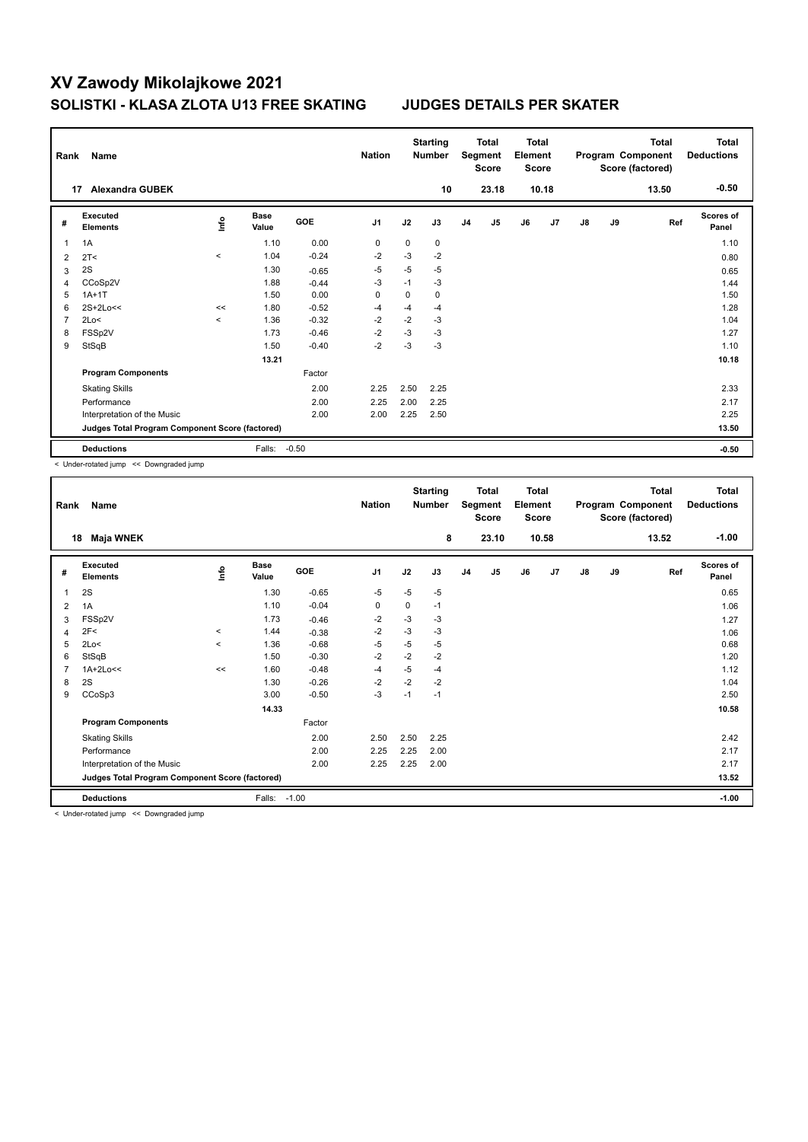| Rank | Name                                            |          |                      |            | <b>Nation</b>  |             | <b>Starting</b><br><b>Number</b> |                | Total<br>Segment<br><b>Score</b> | <b>Total</b><br>Element<br><b>Score</b> |       |               |    | <b>Total</b><br>Program Component<br>Score (factored) | Total<br><b>Deductions</b> |
|------|-------------------------------------------------|----------|----------------------|------------|----------------|-------------|----------------------------------|----------------|----------------------------------|-----------------------------------------|-------|---------------|----|-------------------------------------------------------|----------------------------|
|      | <b>Alexandra GUBEK</b><br>17                    |          |                      |            |                |             | 10                               |                | 23.18                            |                                         | 10.18 |               |    | 13.50                                                 | $-0.50$                    |
| #    | <b>Executed</b><br><b>Elements</b>              | ١nf٥     | <b>Base</b><br>Value | <b>GOE</b> | J <sub>1</sub> | J2          | J3                               | J <sub>4</sub> | J5                               | J6                                      | J7    | $\mathsf{J}8$ | J9 | Ref                                                   | <b>Scores of</b><br>Panel  |
| 1    | 1A                                              |          | 1.10                 | 0.00       | 0              | 0           | 0                                |                |                                  |                                         |       |               |    |                                                       | 1.10                       |
| 2    | 2T <                                            | $\hat{}$ | 1.04                 | $-0.24$    | $-2$           | $-3$        | $-2$                             |                |                                  |                                         |       |               |    |                                                       | 0.80                       |
| 3    | 2S                                              |          | 1.30                 | $-0.65$    | $-5$           | $-5$        | $-5$                             |                |                                  |                                         |       |               |    |                                                       | 0.65                       |
| 4    | CCoSp2V                                         |          | 1.88                 | $-0.44$    | $-3$           | $-1$        | $-3$                             |                |                                  |                                         |       |               |    |                                                       | 1.44                       |
| 5    | $1A+1T$                                         |          | 1.50                 | 0.00       | $\mathbf 0$    | $\mathbf 0$ | $\mathbf 0$                      |                |                                  |                                         |       |               |    |                                                       | 1.50                       |
| 6    | $2S+2Lo<<$                                      | <<       | 1.80                 | $-0.52$    | $-4$           | $-4$        | $-4$                             |                |                                  |                                         |       |               |    |                                                       | 1.28                       |
| 7    | 2Lo<                                            | $\prec$  | 1.36                 | $-0.32$    | $-2$           | $-2$        | $-3$                             |                |                                  |                                         |       |               |    |                                                       | 1.04                       |
| 8    | FSSp2V                                          |          | 1.73                 | $-0.46$    | $-2$           | $-3$        | $-3$                             |                |                                  |                                         |       |               |    |                                                       | 1.27                       |
| 9    | StSqB                                           |          | 1.50                 | $-0.40$    | $-2$           | $-3$        | $-3$                             |                |                                  |                                         |       |               |    |                                                       | 1.10                       |
|      |                                                 |          | 13.21                |            |                |             |                                  |                |                                  |                                         |       |               |    |                                                       | 10.18                      |
|      | <b>Program Components</b>                       |          |                      | Factor     |                |             |                                  |                |                                  |                                         |       |               |    |                                                       |                            |
|      | <b>Skating Skills</b>                           |          |                      | 2.00       | 2.25           | 2.50        | 2.25                             |                |                                  |                                         |       |               |    |                                                       | 2.33                       |
|      | Performance                                     |          |                      | 2.00       | 2.25           | 2.00        | 2.25                             |                |                                  |                                         |       |               |    |                                                       | 2.17                       |
|      | Interpretation of the Music                     |          |                      | 2.00       | 2.00           | 2.25        | 2.50                             |                |                                  |                                         |       |               |    |                                                       | 2.25                       |
|      | Judges Total Program Component Score (factored) |          |                      |            |                |             |                                  |                |                                  |                                         |       |               |    |                                                       | 13.50                      |
|      | <b>Deductions</b>                               |          | Falls:               | $-0.50$    |                |             |                                  |                |                                  |                                         |       |               |    |                                                       | $-0.50$                    |

< Under-rotated jump << Downgraded jump

| Rank | Name                                                    |         |                      |            | <b>Nation</b>  |      | <b>Starting</b><br><b>Number</b> |                | <b>Total</b><br>Segment<br><b>Score</b> | <b>Total</b><br>Element<br><b>Score</b> |       |               |    | <b>Total</b><br>Program Component<br>Score (factored) | <b>Total</b><br><b>Deductions</b> |
|------|---------------------------------------------------------|---------|----------------------|------------|----------------|------|----------------------------------|----------------|-----------------------------------------|-----------------------------------------|-------|---------------|----|-------------------------------------------------------|-----------------------------------|
| 18   | Maja WNEK                                               |         |                      |            |                |      | 8                                |                | 23.10                                   |                                         | 10.58 |               |    | 13.52                                                 | $-1.00$                           |
| #    | Executed<br><b>Elements</b>                             | ١nto    | <b>Base</b><br>Value | <b>GOE</b> | J <sub>1</sub> | J2   | J3                               | J <sub>4</sub> | J5                                      | J6                                      | J7    | $\mathsf{J}8$ | J9 | Ref                                                   | <b>Scores of</b><br>Panel         |
| 1    | 2S                                                      |         | 1.30                 | $-0.65$    | $-5$           | $-5$ | $-5$                             |                |                                         |                                         |       |               |    |                                                       | 0.65                              |
| 2    | 1A                                                      |         | 1.10                 | $-0.04$    | 0              | 0    | $-1$                             |                |                                         |                                         |       |               |    |                                                       | 1.06                              |
| 3    | FSSp2V                                                  |         | 1.73                 | $-0.46$    | $-2$           | $-3$ | -3                               |                |                                         |                                         |       |               |    |                                                       | 1.27                              |
| 4    | 2F<                                                     | $\,<\,$ | 1.44                 | $-0.38$    | $-2$           | $-3$ | -3                               |                |                                         |                                         |       |               |    |                                                       | 1.06                              |
| 5    | 2Lo<                                                    | $\,<\,$ | 1.36                 | $-0.68$    | $-5$           | $-5$ | $-5$                             |                |                                         |                                         |       |               |    |                                                       | 0.68                              |
| 6    | StSqB                                                   |         | 1.50                 | $-0.30$    | $-2$           | $-2$ | $-2$                             |                |                                         |                                         |       |               |    |                                                       | 1.20                              |
| 7    | $1A+2Lo<<$                                              | <<      | 1.60                 | $-0.48$    | $-4$           | $-5$ | -4                               |                |                                         |                                         |       |               |    |                                                       | 1.12                              |
| 8    | 2S                                                      |         | 1.30                 | $-0.26$    | $-2$           | $-2$ | $-2$                             |                |                                         |                                         |       |               |    |                                                       | 1.04                              |
| 9    | CCoSp3                                                  |         | 3.00                 | $-0.50$    | $-3$           | $-1$ | $-1$                             |                |                                         |                                         |       |               |    |                                                       | 2.50                              |
|      |                                                         |         | 14.33                |            |                |      |                                  |                |                                         |                                         |       |               |    |                                                       | 10.58                             |
|      | <b>Program Components</b>                               |         |                      | Factor     |                |      |                                  |                |                                         |                                         |       |               |    |                                                       |                                   |
|      | <b>Skating Skills</b>                                   |         |                      | 2.00       | 2.50           | 2.50 | 2.25                             |                |                                         |                                         |       |               |    |                                                       | 2.42                              |
|      | Performance                                             |         |                      | 2.00       | 2.25           | 2.25 | 2.00                             |                |                                         |                                         |       |               |    |                                                       | 2.17                              |
|      | Interpretation of the Music                             |         |                      | 2.00       | 2.25           | 2.25 | 2.00                             |                |                                         |                                         |       |               |    |                                                       | 2.17                              |
|      | Judges Total Program Component Score (factored)         |         |                      |            |                |      |                                  |                |                                         |                                         |       |               |    |                                                       | 13.52                             |
|      | <b>Deductions</b>                                       |         | Falls:               | $-1.00$    |                |      |                                  |                |                                         |                                         |       |               |    |                                                       | $-1.00$                           |
|      | $\sim$ $\sim$ $\sim$ $\sim$ $\sim$ $\sim$ $\sim$ $\sim$ |         |                      |            |                |      |                                  |                |                                         |                                         |       |               |    |                                                       |                                   |

< Under-rotated jump << Downgraded jump